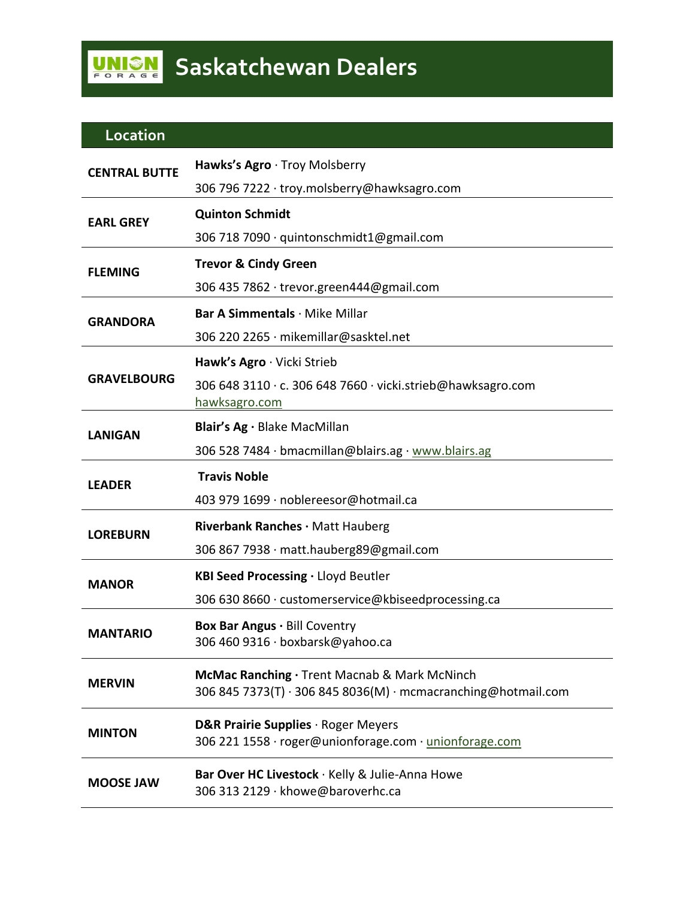## **Location**

| <b>CENTRAL BUTTE</b> | Hawks's Agro · Troy Molsberry                                                                                 |
|----------------------|---------------------------------------------------------------------------------------------------------------|
|                      | 306 796 7222 · troy.molsberry@hawksagro.com                                                                   |
| <b>EARL GREY</b>     | <b>Quinton Schmidt</b>                                                                                        |
|                      | 306 718 7090 · quintonschmidt1@gmail.com                                                                      |
| <b>FLEMING</b>       | <b>Trevor &amp; Cindy Green</b>                                                                               |
|                      | 306 435 7862 · trevor.green444@gmail.com                                                                      |
| <b>GRANDORA</b>      | Bar A Simmentals · Mike Millar                                                                                |
|                      | 306 220 2265 · mikemillar@sasktel.net                                                                         |
| <b>GRAVELBOURG</b>   | Hawk's Agro · Vicki Strieb                                                                                    |
|                      | 306 648 3110 · c. 306 648 7660 · vicki.strieb@hawksagro.com<br>hawksagro.com                                  |
| <b>LANIGAN</b>       | Blair's Ag · Blake MacMillan                                                                                  |
|                      | 306 528 7484 · bmacmillan@blairs.ag · www.blairs.ag                                                           |
| <b>LEADER</b>        | <b>Travis Noble</b>                                                                                           |
|                      | 403 979 1699 · noblereesor@hotmail.ca                                                                         |
| <b>LOREBURN</b>      | Riverbank Ranches · Matt Hauberg                                                                              |
|                      | 306 867 7938 · matt.hauberg89@gmail.com                                                                       |
| <b>MANOR</b>         | KBI Seed Processing · Lloyd Beutler                                                                           |
|                      | 306 630 8660 · customerservice@kbiseedprocessing.ca                                                           |
| <b>MANTARIO</b>      | Box Bar Angus . Bill Coventry<br>306 460 9316 · boxbarsk@yahoo.ca                                             |
| <b>MERVIN</b>        | McMac Ranching · Trent Macnab & Mark McNinch<br>306 845 7373(T) · 306 845 8036(M) · mcmacranching@hotmail.com |
| <b>MINTON</b>        | <b>D&amp;R Prairie Supplies</b> · Roger Meyers<br>306 221 1558 · roger@unionforage.com · unionforage.com      |
| <b>MOOSE JAW</b>     | Bar Over HC Livestock · Kelly & Julie-Anna Howe<br>306 313 2129 · khowe@baroverhc.ca                          |